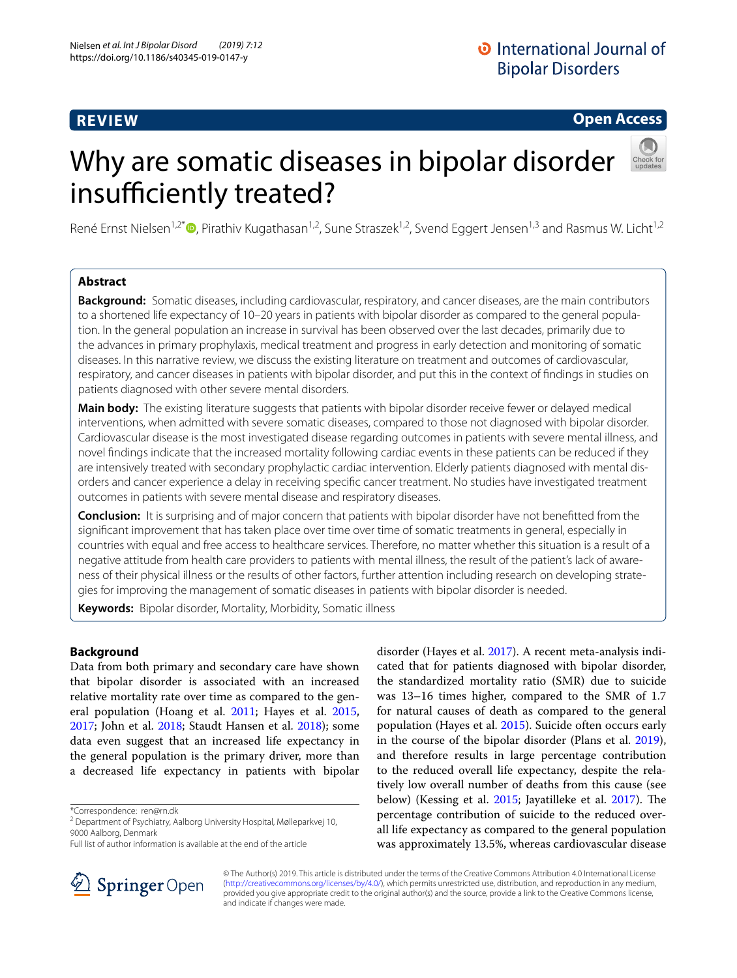# **REVIEW**

**Open Access**

# Why are somatic diseases in bipolar disorder insufficiently treated?



René Ernst Nielsen<sup>1,2\*</sup>  $\bullet$ [,](http://orcid.org/0000-0002-7982-6352) Pirathiv Kugathasan<sup>1,2</sup>, Sune Straszek<sup>1,2</sup>, Svend Eggert Jensen<sup>1,3</sup> and Rasmus W. Licht<sup>1,2</sup>

# **Abstract**

**Background:** Somatic diseases, including cardiovascular, respiratory, and cancer diseases, are the main contributors to a shortened life expectancy of 10–20 years in patients with bipolar disorder as compared to the general population. In the general population an increase in survival has been observed over the last decades, primarily due to the advances in primary prophylaxis, medical treatment and progress in early detection and monitoring of somatic diseases. In this narrative review, we discuss the existing literature on treatment and outcomes of cardiovascular, respiratory, and cancer diseases in patients with bipolar disorder, and put this in the context of fndings in studies on patients diagnosed with other severe mental disorders.

**Main body:** The existing literature suggests that patients with bipolar disorder receive fewer or delayed medical interventions, when admitted with severe somatic diseases, compared to those not diagnosed with bipolar disorder. Cardiovascular disease is the most investigated disease regarding outcomes in patients with severe mental illness, and novel fndings indicate that the increased mortality following cardiac events in these patients can be reduced if they are intensively treated with secondary prophylactic cardiac intervention. Elderly patients diagnosed with mental disorders and cancer experience a delay in receiving specifc cancer treatment. No studies have investigated treatment outcomes in patients with severe mental disease and respiratory diseases.

**Conclusion:** It is surprising and of major concern that patients with bipolar disorder have not beneftted from the signifcant improvement that has taken place over time over time of somatic treatments in general, especially in countries with equal and free access to healthcare services. Therefore, no matter whether this situation is a result of a negative attitude from health care providers to patients with mental illness, the result of the patient's lack of awareness of their physical illness or the results of other factors, further attention including research on developing strategies for improving the management of somatic diseases in patients with bipolar disorder is needed.

**Keywords:** Bipolar disorder, Mortality, Morbidity, Somatic illness

# **Background**

Data from both primary and secondary care have shown that bipolar disorder is associated with an increased relative mortality rate over time as compared to the general population (Hoang et al. [2011](#page-5-0); Hayes et al. [2015](#page-4-0), [2017](#page-4-1); John et al. [2018](#page-5-1); Staudt Hansen et al. [2018](#page-6-0)); some data even suggest that an increased life expectancy in the general population is the primary driver, more than a decreased life expectancy in patients with bipolar

\*Correspondence: ren@rn.dk



disorder (Hayes et al. [2017](#page-4-1)). A recent meta-analysis indicated that for patients diagnosed with bipolar disorder,



© The Author(s) 2019. This article is distributed under the terms of the Creative Commons Attribution 4.0 International License [\(http://creativecommons.org/licenses/by/4.0/\)](http://creativecommons.org/licenses/by/4.0/), which permits unrestricted use, distribution, and reproduction in any medium, provided you give appropriate credit to the original author(s) and the source, provide a link to the Creative Commons license, and indicate if changes were made.

<sup>&</sup>lt;sup>2</sup> Department of Psychiatry, Aalborg University Hospital, Mølleparkvej 10, 9000 Aalborg, Denmark

Full list of author information is available at the end of the article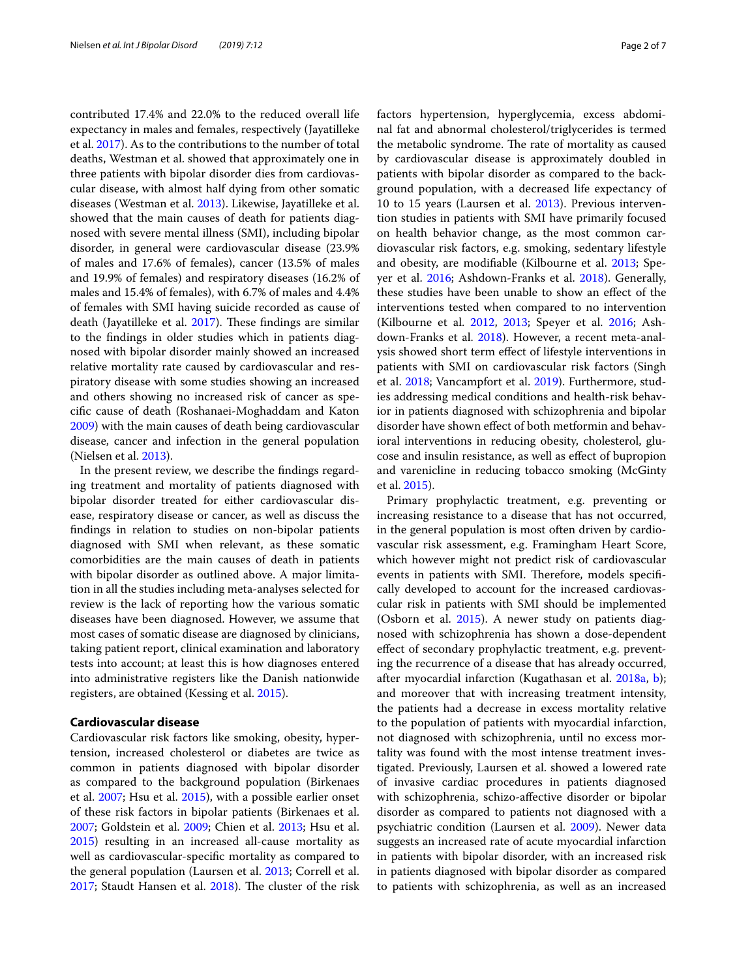contributed 17.4% and 22.0% to the reduced overall life expectancy in males and females, respectively (Jayatilleke et al. [2017\)](#page-5-3). As to the contributions to the number of total deaths, Westman et al. showed that approximately one in three patients with bipolar disorder dies from cardiovascular disease, with almost half dying from other somatic diseases (Westman et al. [2013](#page-6-2)). Likewise, Jayatilleke et al. showed that the main causes of death for patients diagnosed with severe mental illness (SMI), including bipolar disorder, in general were cardiovascular disease (23.9% of males and 17.6% of females), cancer (13.5% of males and 19.9% of females) and respiratory diseases (16.2% of males and 15.4% of females), with 6.7% of males and 4.4% of females with SMI having suicide recorded as cause of death (Jayatilleke et al. [2017](#page-5-3)). These findings are similar to the fndings in older studies which in patients diagnosed with bipolar disorder mainly showed an increased relative mortality rate caused by cardiovascular and respiratory disease with some studies showing an increased and others showing no increased risk of cancer as specifc cause of death (Roshanaei-Moghaddam and Katon [2009](#page-6-3)) with the main causes of death being cardiovascular disease, cancer and infection in the general population (Nielsen et al. [2013](#page-5-4)).

In the present review, we describe the fndings regarding treatment and mortality of patients diagnosed with bipolar disorder treated for either cardiovascular disease, respiratory disease or cancer, as well as discuss the fndings in relation to studies on non-bipolar patients diagnosed with SMI when relevant, as these somatic comorbidities are the main causes of death in patients with bipolar disorder as outlined above. A major limitation in all the studies including meta-analyses selected for review is the lack of reporting how the various somatic diseases have been diagnosed. However, we assume that most cases of somatic disease are diagnosed by clinicians, taking patient report, clinical examination and laboratory tests into account; at least this is how diagnoses entered into administrative registers like the Danish nationwide registers, are obtained (Kessing et al. [2015\)](#page-5-2).

#### **Cardiovascular disease**

Cardiovascular risk factors like smoking, obesity, hypertension, increased cholesterol or diabetes are twice as common in patients diagnosed with bipolar disorder as compared to the background population (Birkenaes et al. [2007](#page-4-2); Hsu et al. [2015](#page-5-5)), with a possible earlier onset of these risk factors in bipolar patients (Birkenaes et al. [2007](#page-4-2); Goldstein et al. [2009](#page-4-3); Chien et al. [2013;](#page-4-4) Hsu et al. [2015](#page-5-5)) resulting in an increased all-cause mortality as well as cardiovascular-specifc mortality as compared to the general population (Laursen et al. [2013;](#page-5-6) Correll et al.  $2017$ ; Staudt Hansen et al.  $2018$ ). The cluster of the risk factors hypertension, hyperglycemia, excess abdominal fat and abnormal cholesterol/triglycerides is termed the metabolic syndrome. The rate of mortality as caused by cardiovascular disease is approximately doubled in patients with bipolar disorder as compared to the background population, with a decreased life expectancy of 10 to 15 years (Laursen et al. [2013](#page-5-6)). Previous intervention studies in patients with SMI have primarily focused on health behavior change, as the most common cardiovascular risk factors, e.g. smoking, sedentary lifestyle and obesity, are modifable (Kilbourne et al. [2013](#page-5-7); Speyer et al. [2016;](#page-6-4) Ashdown-Franks et al. [2018](#page-4-6)). Generally, these studies have been unable to show an efect of the interventions tested when compared to no intervention (Kilbourne et al. [2012,](#page-5-8) [2013;](#page-5-7) Speyer et al. [2016;](#page-6-4) Ashdown-Franks et al. [2018\)](#page-4-6). However, a recent meta-analysis showed short term efect of lifestyle interventions in patients with SMI on cardiovascular risk factors (Singh et al. [2018](#page-6-5); Vancampfort et al. [2019](#page-6-6)). Furthermore, studies addressing medical conditions and health-risk behavior in patients diagnosed with schizophrenia and bipolar disorder have shown efect of both metformin and behavioral interventions in reducing obesity, cholesterol, glucose and insulin resistance, as well as efect of bupropion and varenicline in reducing tobacco smoking (McGinty et al. [2015](#page-5-9)).

Primary prophylactic treatment, e.g. preventing or increasing resistance to a disease that has not occurred, in the general population is most often driven by cardiovascular risk assessment, e.g. Framingham Heart Score, which however might not predict risk of cardiovascular events in patients with SMI. Therefore, models specifically developed to account for the increased cardiovascular risk in patients with SMI should be implemented (Osborn et al. [2015\)](#page-5-10). A newer study on patients diagnosed with schizophrenia has shown a dose-dependent efect of secondary prophylactic treatment, e.g. preventing the recurrence of a disease that has already occurred, after myocardial infarction (Kugathasan et al. [2018a](#page-5-11), [b](#page-5-12)); and moreover that with increasing treatment intensity, the patients had a decrease in excess mortality relative to the population of patients with myocardial infarction, not diagnosed with schizophrenia, until no excess mortality was found with the most intense treatment investigated. Previously, Laursen et al. showed a lowered rate of invasive cardiac procedures in patients diagnosed with schizophrenia, schizo-afective disorder or bipolar disorder as compared to patients not diagnosed with a psychiatric condition (Laursen et al. [2009\)](#page-5-13). Newer data suggests an increased rate of acute myocardial infarction in patients with bipolar disorder, with an increased risk in patients diagnosed with bipolar disorder as compared to patients with schizophrenia, as well as an increased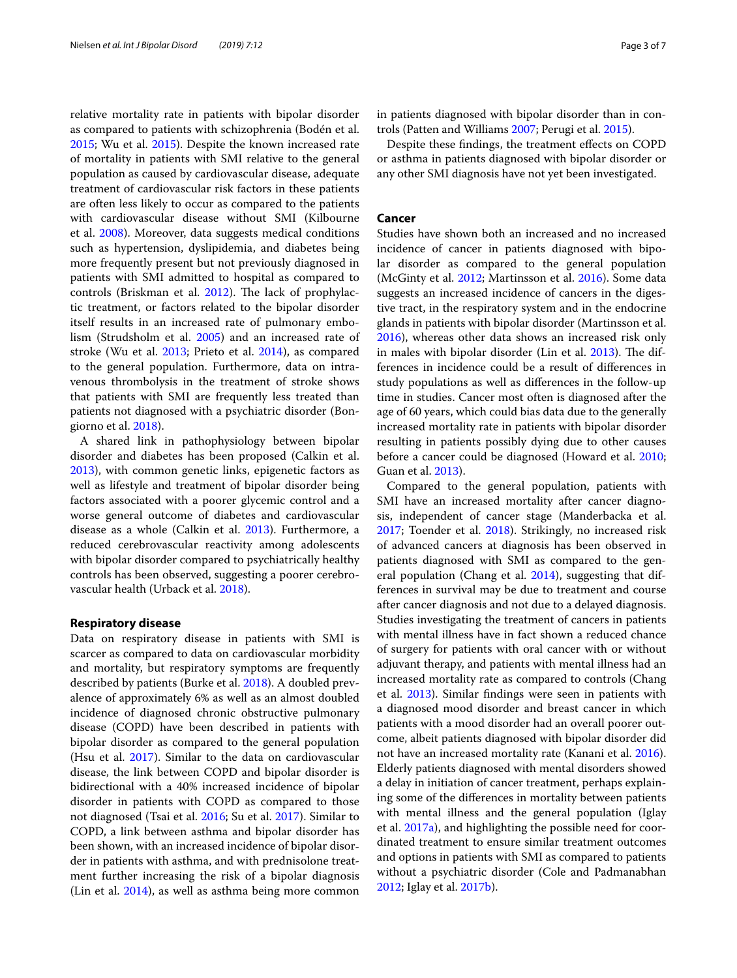relative mortality rate in patients with bipolar disorder as compared to patients with schizophrenia (Bodén et al. [2015](#page-4-7); Wu et al. [2015](#page-6-7)). Despite the known increased rate of mortality in patients with SMI relative to the general population as caused by cardiovascular disease, adequate treatment of cardiovascular risk factors in these patients are often less likely to occur as compared to the patients with cardiovascular disease without SMI (Kilbourne et al. [2008\)](#page-5-14). Moreover, data suggests medical conditions such as hypertension, dyslipidemia, and diabetes being more frequently present but not previously diagnosed in patients with SMI admitted to hospital as compared to controls (Briskman et al.  $2012$ ). The lack of prophylactic treatment, or factors related to the bipolar disorder itself results in an increased rate of pulmonary embolism (Strudsholm et al. [2005](#page-6-8)) and an increased rate of stroke (Wu et al. [2013;](#page-6-9) Prieto et al. [2014\)](#page-6-10), as compared to the general population. Furthermore, data on intravenous thrombolysis in the treatment of stroke shows that patients with SMI are frequently less treated than patients not diagnosed with a psychiatric disorder (Bongiorno et al. [2018](#page-4-9)).

A shared link in pathophysiology between bipolar disorder and diabetes has been proposed (Calkin et al. [2013](#page-4-10)), with common genetic links, epigenetic factors as well as lifestyle and treatment of bipolar disorder being factors associated with a poorer glycemic control and a worse general outcome of diabetes and cardiovascular disease as a whole (Calkin et al. [2013\)](#page-4-10). Furthermore, a reduced cerebrovascular reactivity among adolescents with bipolar disorder compared to psychiatrically healthy controls has been observed, suggesting a poorer cerebrovascular health (Urback et al. [2018](#page-6-11)).

### **Respiratory disease**

Data on respiratory disease in patients with SMI is scarcer as compared to data on cardiovascular morbidity and mortality, but respiratory symptoms are frequently described by patients (Burke et al. [2018](#page-4-11)). A doubled prevalence of approximately 6% as well as an almost doubled incidence of diagnosed chronic obstructive pulmonary disease (COPD) have been described in patients with bipolar disorder as compared to the general population (Hsu et al. [2017](#page-5-15)). Similar to the data on cardiovascular disease, the link between COPD and bipolar disorder is bidirectional with a 40% increased incidence of bipolar disorder in patients with COPD as compared to those not diagnosed (Tsai et al. [2016](#page-6-12); Su et al. [2017](#page-6-13)). Similar to COPD, a link between asthma and bipolar disorder has been shown, with an increased incidence of bipolar disorder in patients with asthma, and with prednisolone treatment further increasing the risk of a bipolar diagnosis (Lin et al. [2014\)](#page-5-16), as well as asthma being more common in patients diagnosed with bipolar disorder than in controls (Patten and Williams [2007](#page-6-14); Perugi et al. [2015\)](#page-6-15).

Despite these fndings, the treatment efects on COPD or asthma in patients diagnosed with bipolar disorder or any other SMI diagnosis have not yet been investigated.

# **Cancer**

Studies have shown both an increased and no increased incidence of cancer in patients diagnosed with bipolar disorder as compared to the general population (McGinty et al. [2012;](#page-5-17) Martinsson et al. [2016](#page-5-18)). Some data suggests an increased incidence of cancers in the digestive tract, in the respiratory system and in the endocrine glands in patients with bipolar disorder (Martinsson et al. [2016](#page-5-18)), whereas other data shows an increased risk only in males with bipolar disorder (Lin et al. [2013\)](#page-5-19). The differences in incidence could be a result of diferences in study populations as well as diferences in the follow-up time in studies. Cancer most often is diagnosed after the age of 60 years, which could bias data due to the generally increased mortality rate in patients with bipolar disorder resulting in patients possibly dying due to other causes before a cancer could be diagnosed (Howard et al. [2010](#page-5-20); Guan et al. [2013\)](#page-4-12).

Compared to the general population, patients with SMI have an increased mortality after cancer diagnosis, independent of cancer stage (Manderbacka et al. [2017](#page-5-21); Toender et al. [2018](#page-6-16)). Strikingly, no increased risk of advanced cancers at diagnosis has been observed in patients diagnosed with SMI as compared to the gen-eral population (Chang et al. [2014\)](#page-4-13), suggesting that differences in survival may be due to treatment and course after cancer diagnosis and not due to a delayed diagnosis. Studies investigating the treatment of cancers in patients with mental illness have in fact shown a reduced chance of surgery for patients with oral cancer with or without adjuvant therapy, and patients with mental illness had an increased mortality rate as compared to controls (Chang et al. [2013\)](#page-4-14). Similar fndings were seen in patients with a diagnosed mood disorder and breast cancer in which patients with a mood disorder had an overall poorer outcome, albeit patients diagnosed with bipolar disorder did not have an increased mortality rate (Kanani et al. [2016](#page-5-22)). Elderly patients diagnosed with mental disorders showed a delay in initiation of cancer treatment, perhaps explaining some of the diferences in mortality between patients with mental illness and the general population (Iglay et al. [2017a\)](#page-5-23), and highlighting the possible need for coordinated treatment to ensure similar treatment outcomes and options in patients with SMI as compared to patients without a psychiatric disorder (Cole and Padmanabhan [2012](#page-4-15); Iglay et al. [2017b](#page-5-24)).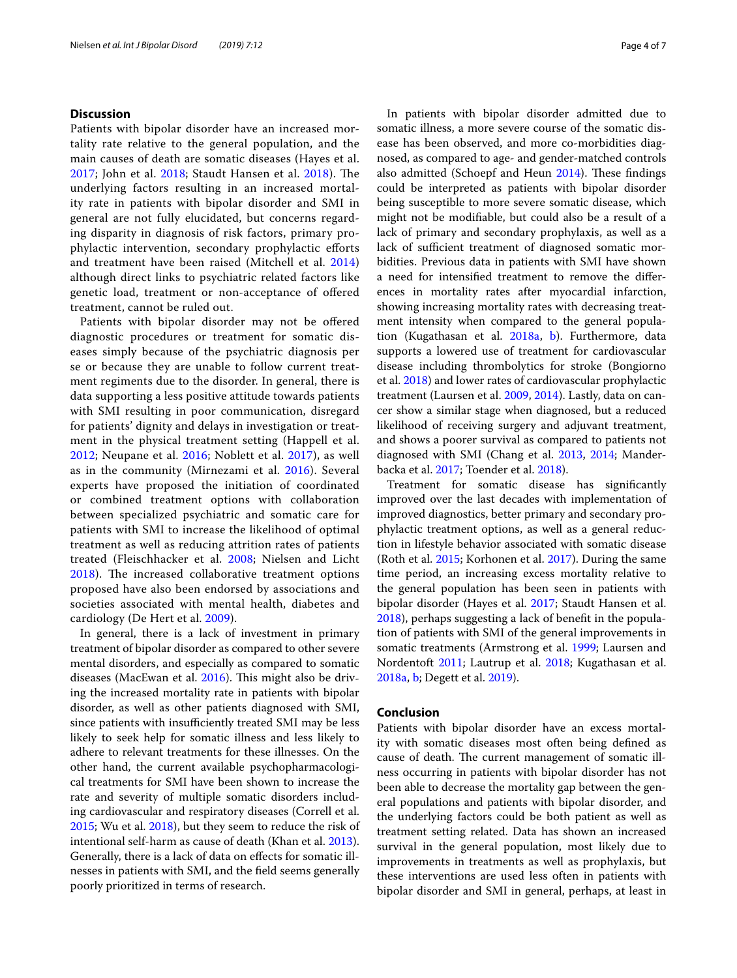## **Discussion**

Patients with bipolar disorder have an increased mortality rate relative to the general population, and the main causes of death are somatic diseases (Hayes et al. [2017;](#page-4-1) John et al. [2018;](#page-5-1) Staudt Hansen et al. [2018](#page-6-0)). The underlying factors resulting in an increased mortality rate in patients with bipolar disorder and SMI in general are not fully elucidated, but concerns regarding disparity in diagnosis of risk factors, primary prophylactic intervention, secondary prophylactic eforts and treatment have been raised (Mitchell et al. [2014](#page-5-25)) although direct links to psychiatric related factors like genetic load, treatment or non-acceptance of ofered treatment, cannot be ruled out.

Patients with bipolar disorder may not be ofered diagnostic procedures or treatment for somatic diseases simply because of the psychiatric diagnosis per se or because they are unable to follow current treatment regiments due to the disorder. In general, there is data supporting a less positive attitude towards patients with SMI resulting in poor communication, disregard for patients' dignity and delays in investigation or treatment in the physical treatment setting (Happell et al. [2012;](#page-4-16) Neupane et al. [2016;](#page-5-26) Noblett et al. [2017](#page-5-27)), as well as in the community (Mirnezami et al. [2016\)](#page-5-28). Several experts have proposed the initiation of coordinated or combined treatment options with collaboration between specialized psychiatric and somatic care for patients with SMI to increase the likelihood of optimal treatment as well as reducing attrition rates of patients treated (Fleischhacker et al. [2008;](#page-4-17) Nielsen and Licht  $2018$ ). The increased collaborative treatment options proposed have also been endorsed by associations and societies associated with mental health, diabetes and cardiology (De Hert et al. [2009](#page-4-18)).

In general, there is a lack of investment in primary treatment of bipolar disorder as compared to other severe mental disorders, and especially as compared to somatic diseases (MacEwan et al. [2016](#page-5-30)). This might also be driving the increased mortality rate in patients with bipolar disorder, as well as other patients diagnosed with SMI, since patients with insufficiently treated SMI may be less likely to seek help for somatic illness and less likely to adhere to relevant treatments for these illnesses. On the other hand, the current available psychopharmacological treatments for SMI have been shown to increase the rate and severity of multiple somatic disorders including cardiovascular and respiratory diseases (Correll et al. [2015](#page-4-19); Wu et al. [2018](#page-6-17)), but they seem to reduce the risk of intentional self-harm as cause of death (Khan et al. [2013](#page-5-31)). Generally, there is a lack of data on efects for somatic illnesses in patients with SMI, and the feld seems generally poorly prioritized in terms of research.

In patients with bipolar disorder admitted due to somatic illness, a more severe course of the somatic disease has been observed, and more co-morbidities diagnosed, as compared to age- and gender-matched controls also admitted (Schoepf and Heun [2014](#page-6-18)). These findings could be interpreted as patients with bipolar disorder being susceptible to more severe somatic disease, which might not be modifable, but could also be a result of a lack of primary and secondary prophylaxis, as well as a lack of sufficient treatment of diagnosed somatic morbidities. Previous data in patients with SMI have shown a need for intensifed treatment to remove the diferences in mortality rates after myocardial infarction, showing increasing mortality rates with decreasing treatment intensity when compared to the general population (Kugathasan et al. [2018a](#page-5-11), [b\)](#page-5-12). Furthermore, data supports a lowered use of treatment for cardiovascular disease including thrombolytics for stroke (Bongiorno et al. [2018\)](#page-4-9) and lower rates of cardiovascular prophylactic treatment (Laursen et al. [2009](#page-5-13), [2014\)](#page-5-32). Lastly, data on cancer show a similar stage when diagnosed, but a reduced likelihood of receiving surgery and adjuvant treatment, and shows a poorer survival as compared to patients not diagnosed with SMI (Chang et al. [2013](#page-4-14), [2014;](#page-4-13) Manderbacka et al. [2017;](#page-5-21) Toender et al. [2018](#page-6-16)).

Treatment for somatic disease has signifcantly improved over the last decades with implementation of improved diagnostics, better primary and secondary prophylactic treatment options, as well as a general reduction in lifestyle behavior associated with somatic disease (Roth et al. [2015](#page-6-19); Korhonen et al. [2017](#page-5-33)). During the same time period, an increasing excess mortality relative to the general population has been seen in patients with bipolar disorder (Hayes et al. [2017;](#page-4-1) Staudt Hansen et al. [2018](#page-6-0)), perhaps suggesting a lack of beneft in the population of patients with SMI of the general improvements in somatic treatments (Armstrong et al. [1999;](#page-4-20) Laursen and Nordentoft [2011](#page-5-34); Lautrup et al. [2018;](#page-5-35) Kugathasan et al. [2018a](#page-5-11), [b;](#page-5-12) Degett et al. [2019](#page-4-21)).

# **Conclusion**

Patients with bipolar disorder have an excess mortality with somatic diseases most often being defned as cause of death. The current management of somatic illness occurring in patients with bipolar disorder has not been able to decrease the mortality gap between the general populations and patients with bipolar disorder, and the underlying factors could be both patient as well as treatment setting related. Data has shown an increased survival in the general population, most likely due to improvements in treatments as well as prophylaxis, but these interventions are used less often in patients with bipolar disorder and SMI in general, perhaps, at least in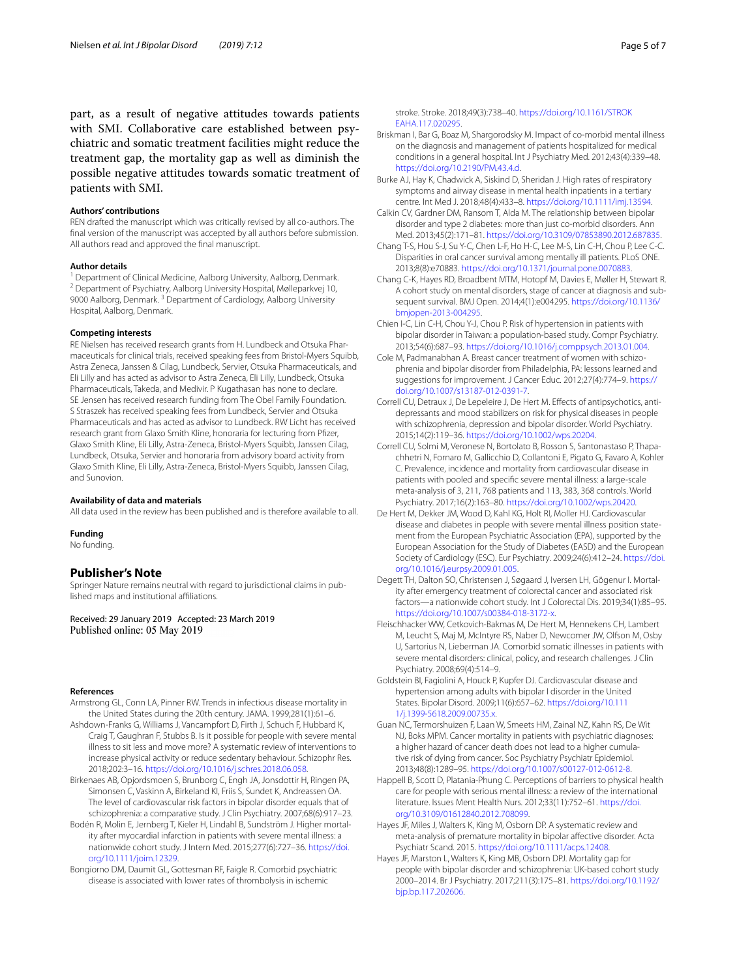part, as a result of negative attitudes towards patients with SMI. Collaborative care established between psychiatric and somatic treatment facilities might reduce the treatment gap, the mortality gap as well as diminish the possible negative attitudes towards somatic treatment of patients with SMI.

#### **Authors' contributions**

REN drafted the manuscript which was critically revised by all co-authors. The fnal version of the manuscript was accepted by all authors before submission. All authors read and approved the fnal manuscript.

**Author details**<br><sup>1</sup> Department of Clinical Medicine, Aalborg University, Aalborg, Denmark. <sup>2</sup> Department of Psychiatry, Aalborg University Hospital, Mølleparkvej 10, 9000 Aalborg, Denmark.<sup>3</sup> Department of Cardiology, Aalborg University Hospital, Aalborg, Denmark.

#### **Competing interests**

RE Nielsen has received research grants from H. Lundbeck and Otsuka Pharmaceuticals for clinical trials, received speaking fees from Bristol-Myers Squibb, Astra Zeneca, Janssen & Cilag, Lundbeck, Servier, Otsuka Pharmaceuticals, and Eli Lilly and has acted as advisor to Astra Zeneca, Eli Lilly, Lundbeck, Otsuka Pharmaceuticals, Takeda, and Medivir. P Kugathasan has none to declare. SE Jensen has received research funding from The Obel Family Foundation. S Straszek has received speaking fees from Lundbeck, Servier and Otsuka Pharmaceuticals and has acted as advisor to Lundbeck. RW Licht has received research grant from Glaxo Smith Kline, honoraria for lecturing from Pfzer, Glaxo Smith Kline, Eli Lilly, Astra-Zeneca, Bristol-Myers Squibb, Janssen Cilag, Lundbeck, Otsuka, Servier and honoraria from advisory board activity from Glaxo Smith Kline, Eli Lilly, Astra-Zeneca, Bristol-Myers Squibb, Janssen Cilag, and Sunovion.

#### **Availability of data and materials**

All data used in the review has been published and is therefore available to all.

#### **Funding**

No funding.

### **Publisher's Note**

Springer Nature remains neutral with regard to jurisdictional claims in published maps and institutional afliations.

Received: 29 January 2019 Accepted: 23 March 2019<br>Published online: 05 May 2019

#### **References**

- <span id="page-4-20"></span>Armstrong GL, Conn LA, Pinner RW. Trends in infectious disease mortality in the United States during the 20th century. JAMA. 1999;281(1):61–6.
- <span id="page-4-6"></span>Ashdown-Franks G, Williams J, Vancampfort D, Firth J, Schuch F, Hubbard K, Craig T, Gaughran F, Stubbs B. Is it possible for people with severe mental illness to sit less and move more? A systematic review of interventions to increase physical activity or reduce sedentary behaviour. Schizophr Res. 2018;202:3–16. [https://doi.org/10.1016/j.schres.2018.06.058.](https://doi.org/10.1016/j.schres.2018.06.058)
- <span id="page-4-2"></span>Birkenaes AB, Opjordsmoen S, Brunborg C, Engh JA, Jonsdottir H, Ringen PA, Simonsen C, Vaskinn A, Birkeland KI, Friis S, Sundet K, Andreassen OA. The level of cardiovascular risk factors in bipolar disorder equals that of schizophrenia: a comparative study. J Clin Psychiatry. 2007;68(6):917–23.
- <span id="page-4-7"></span>Bodén R, Molin E, Jernberg T, Kieler H, Lindahl B, Sundström J. Higher mortality after myocardial infarction in patients with severe mental illness: a nationwide cohort study. J Intern Med. 2015;277(6):727–36. [https://doi.](https://doi.org/10.1111/joim.12329) [org/10.1111/joim.12329](https://doi.org/10.1111/joim.12329).

<span id="page-4-9"></span>Bongiorno DM, Daumit GL, Gottesman RF, Faigle R. Comorbid psychiatric disease is associated with lower rates of thrombolysis in ischemic

stroke. Stroke. 2018;49(3):738–40. [https://doi.org/10.1161/STROK](https://doi.org/10.1161/STROKEAHA.117.020295) [EAHA.117.020295](https://doi.org/10.1161/STROKEAHA.117.020295).

- <span id="page-4-8"></span>Briskman I, Bar G, Boaz M, Shargorodsky M. Impact of co-morbid mental illness on the diagnosis and management of patients hospitalized for medical conditions in a general hospital. Int J Psychiatry Med. 2012;43(4):339–48. [https://doi.org/10.2190/PM.43.4.d.](https://doi.org/10.2190/PM.43.4.d)
- <span id="page-4-11"></span>Burke AJ, Hay K, Chadwick A, Siskind D, Sheridan J. High rates of respiratory symptoms and airway disease in mental health inpatients in a tertiary centre. Int Med J. 2018;48(4):433–8. <https://doi.org/10.1111/imj.13594>.
- <span id="page-4-10"></span>Calkin CV, Gardner DM, Ransom T, Alda M. The relationship between bipolar disorder and type 2 diabetes: more than just co-morbid disorders. Ann Med. 2013;45(2):171–81. [https://doi.org/10.3109/07853890.2012.687835.](https://doi.org/10.3109/07853890.2012.687835)
- <span id="page-4-14"></span>Chang T-S, Hou S-J, Su Y-C, Chen L-F, Ho H-C, Lee M-S, Lin C-H, Chou P, Lee C-C. Disparities in oral cancer survival among mentally ill patients. PLoS ONE. 2013;8(8):e70883. [https://doi.org/10.1371/journal.pone.0070883.](https://doi.org/10.1371/journal.pone.0070883)
- <span id="page-4-13"></span>Chang C-K, Hayes RD, Broadbent MTM, Hotopf M, Davies E, Møller H, Stewart R. A cohort study on mental disorders, stage of cancer at diagnosis and subsequent survival. BMJ Open. 2014;4(1):e004295. [https://doi.org/10.1136/](https://doi.org/10.1136/bmjopen-2013-004295) [bmjopen-2013-004295](https://doi.org/10.1136/bmjopen-2013-004295).
- <span id="page-4-4"></span>Chien I-C, Lin C-H, Chou Y-J, Chou P. Risk of hypertension in patients with bipolar disorder in Taiwan: a population-based study. Compr Psychiatry. 2013;54(6):687–93. [https://doi.org/10.1016/j.comppsych.2013.01.004.](https://doi.org/10.1016/j.comppsych.2013.01.004)
- <span id="page-4-15"></span>Cole M, Padmanabhan A. Breast cancer treatment of women with schizophrenia and bipolar disorder from Philadelphia, PA: lessons learned and suggestions for improvement. J Cancer Educ. 2012;27(4):774–9. [https://](https://doi.org/10.1007/s13187-012-0391-7) [doi.org/10.1007/s13187-012-0391-7](https://doi.org/10.1007/s13187-012-0391-7).
- <span id="page-4-19"></span>Correll CU, Detraux J, De Lepeleire J, De Hert M. Efects of antipsychotics, antidepressants and mood stabilizers on risk for physical diseases in people with schizophrenia, depression and bipolar disorder. World Psychiatry. 2015;14(2):119–36. [https://doi.org/10.1002/wps.20204.](https://doi.org/10.1002/wps.20204)
- <span id="page-4-5"></span>Correll CU, Solmi M, Veronese N, Bortolato B, Rosson S, Santonastaso P, Thapachhetri N, Fornaro M, Gallicchio D, Collantoni E, Pigato G, Favaro A, Kohler C. Prevalence, incidence and mortality from cardiovascular disease in patients with pooled and specifc severe mental illness: a large-scale meta-analysis of 3, 211, 768 patients and 113, 383, 368 controls. World Psychiatry. 2017;16(2):163–80. <https://doi.org/10.1002/wps.20420>.
- <span id="page-4-18"></span>De Hert M, Dekker JM, Wood D, Kahl KG, Holt RI, Moller HJ. Cardiovascular disease and diabetes in people with severe mental illness position statement from the European Psychiatric Association (EPA), supported by the European Association for the Study of Diabetes (EASD) and the European Society of Cardiology (ESC). Eur Psychiatry. 2009;24(6):412–24. [https://doi.](https://doi.org/10.1016/j.eurpsy.2009.01.005) [org/10.1016/j.eurpsy.2009.01.005](https://doi.org/10.1016/j.eurpsy.2009.01.005).
- <span id="page-4-21"></span>Degett TH, Dalton SO, Christensen J, Søgaard J, Iversen LH, Gögenur I. Mortality after emergency treatment of colorectal cancer and associated risk factors—a nationwide cohort study. Int J Colorectal Dis. 2019;34(1):85–95. <https://doi.org/10.1007/s00384-018-3172-x>.
- <span id="page-4-17"></span>Fleischhacker WW, Cetkovich-Bakmas M, De Hert M, Hennekens CH, Lambert M, Leucht S, Maj M, McIntyre RS, Naber D, Newcomer JW, Olfson M, Osby U, Sartorius N, Lieberman JA. Comorbid somatic illnesses in patients with severe mental disorders: clinical, policy, and research challenges. J Clin Psychiatry. 2008;69(4):514–9.
- <span id="page-4-3"></span>Goldstein BI, Fagiolini A, Houck P, Kupfer DJ. Cardiovascular disease and hypertension among adults with bipolar I disorder in the United States. Bipolar Disord. 2009;11(6):657–62. [https://doi.org/10.111](https://doi.org/10.1111/j.1399-5618.2009.00735.x) [1/j.1399-5618.2009.00735.x](https://doi.org/10.1111/j.1399-5618.2009.00735.x).
- <span id="page-4-12"></span>Guan NC, Termorshuizen F, Laan W, Smeets HM, Zainal NZ, Kahn RS, De Wit NJ, Boks MPM. Cancer mortality in patients with psychiatric diagnoses: a higher hazard of cancer death does not lead to a higher cumulative risk of dying from cancer. Soc Psychiatry Psychiatr Epidemiol. 2013;48(8):1289–95. [https://doi.org/10.1007/s00127-012-0612-8.](https://doi.org/10.1007/s00127-012-0612-8)
- <span id="page-4-16"></span>Happell B, Scott D, Platania-Phung C. Perceptions of barriers to physical health care for people with serious mental illness: a review of the international literature. Issues Ment Health Nurs. 2012;33(11):752–61. [https://doi.](https://doi.org/10.3109/01612840.2012.708099) [org/10.3109/01612840.2012.708099.](https://doi.org/10.3109/01612840.2012.708099)
- <span id="page-4-0"></span>Hayes JF, Miles J, Walters K, King M, Osborn DP. A systematic review and meta-analysis of premature mortality in bipolar afective disorder. Acta Psychiatr Scand. 2015. [https://doi.org/10.1111/acps.12408.](https://doi.org/10.1111/acps.12408)
- <span id="page-4-1"></span>Hayes JF, Marston L, Walters K, King MB, Osborn DPJ. Mortality gap for people with bipolar disorder and schizophrenia: UK-based cohort study 2000–2014. Br J Psychiatry. 2017;211(3):175–81. [https://doi.org/10.1192/](https://doi.org/10.1192/bjp.bp.117.202606) [bjp.bp.117.202606](https://doi.org/10.1192/bjp.bp.117.202606).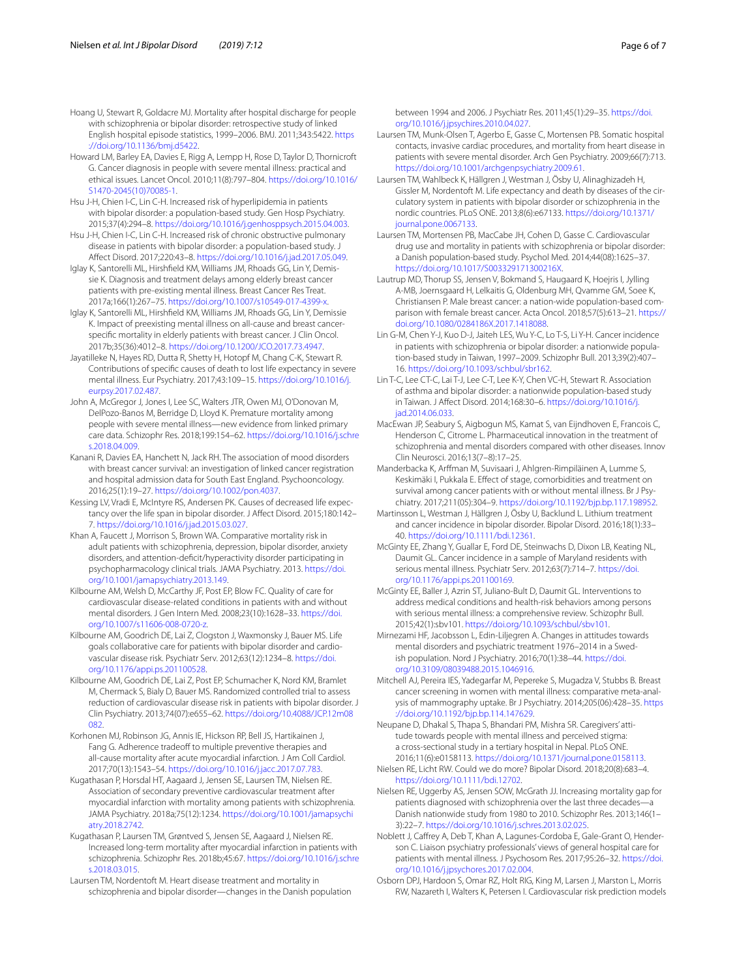- <span id="page-5-20"></span><span id="page-5-0"></span>Howard LM, Barley EA, Davies E, Rigg A, Lempp H, Rose D, Taylor D, Thornicroft G. Cancer diagnosis in people with severe mental illness: practical and ethical issues. Lancet Oncol. 2010;11(8):797–804. [https://doi.org/10.1016/](https://doi.org/10.1016/S1470-2045(10)70085-1) [S1470-2045\(10\)70085-1](https://doi.org/10.1016/S1470-2045(10)70085-1).
- <span id="page-5-5"></span>Hsu J-H, Chien I-C, Lin C-H. Increased risk of hyperlipidemia in patients with bipolar disorder: a population-based study. Gen Hosp Psychiatry. 2015;37(4):294–8.<https://doi.org/10.1016/j.genhosppsych.2015.04.003>.
- <span id="page-5-15"></span>Hsu J-H, Chien I-C, Lin C-H. Increased risk of chronic obstructive pulmonary disease in patients with bipolar disorder: a population-based study. J Afect Disord. 2017;220:43–8. [https://doi.org/10.1016/j.jad.2017.05.049.](https://doi.org/10.1016/j.jad.2017.05.049)
- <span id="page-5-23"></span>Iglay K, Santorelli ML, Hirshfeld KM, Williams JM, Rhoads GG, Lin Y, Demissie K. Diagnosis and treatment delays among elderly breast cancer patients with pre-existing mental illness. Breast Cancer Res Treat. 2017a;166(1):267–75. <https://doi.org/10.1007/s10549-017-4399-x>.
- <span id="page-5-24"></span>Iglay K, Santorelli ML, Hirshfeld KM, Williams JM, Rhoads GG, Lin Y, Demissie K. Impact of preexisting mental illness on all-cause and breast cancerspecifc mortality in elderly patients with breast cancer. J Clin Oncol. 2017b;35(36):4012–8. [https://doi.org/10.1200/JCO.2017.73.4947.](https://doi.org/10.1200/JCO.2017.73.4947)
- <span id="page-5-3"></span>Jayatilleke N, Hayes RD, Dutta R, Shetty H, Hotopf M, Chang C-K, Stewart R. Contributions of specifc causes of death to lost life expectancy in severe mental illness. Eur Psychiatry. 2017;43:109–15. [https://doi.org/10.1016/j.](https://doi.org/10.1016/j.eurpsy.2017.02.487) [eurpsy.2017.02.487](https://doi.org/10.1016/j.eurpsy.2017.02.487).
- <span id="page-5-1"></span>John A, McGregor J, Jones I, Lee SC, Walters JTR, Owen MJ, O'Donovan M, DelPozo-Banos M, Berridge D, Lloyd K. Premature mortality among people with severe mental illness—new evidence from linked primary care data. Schizophr Res. 2018;199:154–62. [https://doi.org/10.1016/j.schre](https://doi.org/10.1016/j.schres.2018.04.009) [s.2018.04.009](https://doi.org/10.1016/j.schres.2018.04.009).
- <span id="page-5-22"></span>Kanani R, Davies EA, Hanchett N, Jack RH. The association of mood disorders with breast cancer survival: an investigation of linked cancer registration and hospital admission data for South East England. Psychooncology. 2016;25(1):19–27.<https://doi.org/10.1002/pon.4037>.
- <span id="page-5-2"></span>Kessing LV, Vradi E, McIntyre RS, Andersen PK. Causes of decreased life expectancy over the life span in bipolar disorder. J Afect Disord. 2015;180:142– 7. [https://doi.org/10.1016/j.jad.2015.03.027.](https://doi.org/10.1016/j.jad.2015.03.027)
- <span id="page-5-31"></span>Khan A, Faucett J, Morrison S, Brown WA. Comparative mortality risk in adult patients with schizophrenia, depression, bipolar disorder, anxiety disorders, and attention-defcit/hyperactivity disorder participating in psychopharmacology clinical trials. JAMA Psychiatry. 2013. [https://doi.](https://doi.org/10.1001/jamapsychiatry.2013.149) [org/10.1001/jamapsychiatry.2013.149.](https://doi.org/10.1001/jamapsychiatry.2013.149)
- <span id="page-5-14"></span>Kilbourne AM, Welsh D, McCarthy JF, Post EP, Blow FC. Quality of care for cardiovascular disease-related conditions in patients with and without mental disorders. J Gen Intern Med. 2008;23(10):1628–33. [https://doi.](https://doi.org/10.1007/s11606-008-0720-z) [org/10.1007/s11606-008-0720-z.](https://doi.org/10.1007/s11606-008-0720-z)
- <span id="page-5-8"></span>Kilbourne AM, Goodrich DE, Lai Z, Clogston J, Waxmonsky J, Bauer MS. Life goals collaborative care for patients with bipolar disorder and cardiovascular disease risk. Psychiatr Serv. 2012;63(12):1234–8. [https://doi.](https://doi.org/10.1176/appi.ps.201100528) [org/10.1176/appi.ps.201100528](https://doi.org/10.1176/appi.ps.201100528).
- <span id="page-5-7"></span>Kilbourne AM, Goodrich DE, Lai Z, Post EP, Schumacher K, Nord KM, Bramlet M, Chermack S, Bialy D, Bauer MS. Randomized controlled trial to assess reduction of cardiovascular disease risk in patients with bipolar disorder. J Clin Psychiatry. 2013;74(07):e655–62. [https://doi.org/10.4088/JCP.12m08](https://doi.org/10.4088/JCP.12m08082) [082.](https://doi.org/10.4088/JCP.12m08082)
- <span id="page-5-33"></span>Korhonen MJ, Robinson JG, Annis IE, Hickson RP, Bell JS, Hartikainen J, Fang G. Adherence tradeoff to multiple preventive therapies and all-cause mortality after acute myocardial infarction. J Am Coll Cardiol. 2017;70(13):1543–54.<https://doi.org/10.1016/j.jacc.2017.07.783>.
- <span id="page-5-11"></span>Kugathasan P, Horsdal HT, Aagaard J, Jensen SE, Laursen TM, Nielsen RE. Association of secondary preventive cardiovascular treatment after myocardial infarction with mortality among patients with schizophrenia. JAMA Psychiatry. 2018a;75(12):1234. [https://doi.org/10.1001/jamapsychi](https://doi.org/10.1001/jamapsychiatry.2018.2742) [atry.2018.2742.](https://doi.org/10.1001/jamapsychiatry.2018.2742)
- <span id="page-5-12"></span>Kugathasan P, Laursen TM, Grøntved S, Jensen SE, Aagaard J, Nielsen RE. Increased long-term mortality after myocardial infarction in patients with schizophrenia. Schizophr Res. 2018b;45:67. [https://doi.org/10.1016/j.schre](https://doi.org/10.1016/j.schres.2018.03.015) [s.2018.03.015](https://doi.org/10.1016/j.schres.2018.03.015).
- <span id="page-5-34"></span>Laursen TM, Nordentoft M. Heart disease treatment and mortality in schizophrenia and bipolar disorder—changes in the Danish population

between 1994 and 2006. J Psychiatr Res. 2011;45(1):29–35. [https://doi.](https://doi.org/10.1016/j.jpsychires.2010.04.027) [org/10.1016/j.jpsychires.2010.04.027](https://doi.org/10.1016/j.jpsychires.2010.04.027).

- <span id="page-5-13"></span>Laursen TM, Munk-Olsen T, Agerbo E, Gasse C, Mortensen PB. Somatic hospital contacts, invasive cardiac procedures, and mortality from heart disease in patients with severe mental disorder. Arch Gen Psychiatry. 2009;66(7):713. <https://doi.org/10.1001/archgenpsychiatry.2009.61>.
- <span id="page-5-6"></span>Laursen TM, Wahlbeck K, Hällgren J, Westman J, Ösby U, Alinaghizadeh H, Gissler M, Nordentoft M. Life expectancy and death by diseases of the circulatory system in patients with bipolar disorder or schizophrenia in the nordic countries. PLoS ONE. 2013;8(6):e67133. [https://doi.org/10.1371/](https://doi.org/10.1371/journal.pone.0067133) [journal.pone.0067133](https://doi.org/10.1371/journal.pone.0067133).
- <span id="page-5-32"></span>Laursen TM, Mortensen PB, MacCabe JH, Cohen D, Gasse C. Cardiovascular drug use and mortality in patients with schizophrenia or bipolar disorder: a Danish population-based study. Psychol Med. 2014;44(08):1625–37. <https://doi.org/10.1017/S003329171300216X>.
- <span id="page-5-35"></span>Lautrup MD, Thorup SS, Jensen V, Bokmand S, Haugaard K, Hoejris I, Jylling A-MB, Joernsgaard H, Lelkaitis G, Oldenburg MH, Qvamme GM, Soee K, Christiansen P. Male breast cancer: a nation-wide population-based comparison with female breast cancer. Acta Oncol. 2018;57(5):613–21. [https://](https://doi.org/10.1080/0284186X.2017.1418088) [doi.org/10.1080/0284186X.2017.1418088.](https://doi.org/10.1080/0284186X.2017.1418088)
- <span id="page-5-19"></span>Lin G-M, Chen Y-J, Kuo D-J, Jaiteh LES, Wu Y-C, Lo T-S, Li Y-H. Cancer incidence in patients with schizophrenia or bipolar disorder: a nationwide population-based study in Taiwan, 1997–2009. Schizophr Bull. 2013;39(2):407– 16. <https://doi.org/10.1093/schbul/sbr162>.
- <span id="page-5-16"></span>Lin T-C, Lee CT-C, Lai T-J, Lee C-T, Lee K-Y, Chen VC-H, Stewart R. Association of asthma and bipolar disorder: a nationwide population-based study in Taiwan. J Afect Disord. 2014;168:30–6. [https://doi.org/10.1016/j.](https://doi.org/10.1016/j.jad.2014.06.033) [jad.2014.06.033.](https://doi.org/10.1016/j.jad.2014.06.033)
- <span id="page-5-30"></span>MacEwan JP, Seabury S, Aigbogun MS, Kamat S, van Eijndhoven E, Francois C, Henderson C, Citrome L. Pharmaceutical innovation in the treatment of schizophrenia and mental disorders compared with other diseases. Innov Clin Neurosci. 2016;13(7–8):17–25.
- <span id="page-5-21"></span>Manderbacka K, Arfman M, Suvisaari J, Ahlgren-Rimpiläinen A, Lumme S, Keskimäki I, Pukkala E. Efect of stage, comorbidities and treatment on survival among cancer patients with or without mental illness. Br J Psychiatry. 2017;211(05):304–9. <https://doi.org/10.1192/bjp.bp.117.198952>.
- <span id="page-5-18"></span>Martinsson L, Westman J, Hällgren J, Ösby U, Backlund L. Lithium treatment and cancer incidence in bipolar disorder. Bipolar Disord. 2016;18(1):33– 40. <https://doi.org/10.1111/bdi.12361>.
- <span id="page-5-17"></span>McGinty EE, Zhang Y, Guallar E, Ford DE, Steinwachs D, Dixon LB, Keating NL, Daumit GL. Cancer incidence in a sample of Maryland residents with serious mental illness. Psychiatr Serv. 2012;63(7):714–7. [https://doi.](https://doi.org/10.1176/appi.ps.201100169) [org/10.1176/appi.ps.201100169](https://doi.org/10.1176/appi.ps.201100169).
- <span id="page-5-9"></span>McGinty EE, Baller J, Azrin ST, Juliano-Bult D, Daumit GL. Interventions to address medical conditions and health-risk behaviors among persons with serious mental illness: a comprehensive review. Schizophr Bull. 2015;42(1):sbv101. [https://doi.org/10.1093/schbul/sbv101.](https://doi.org/10.1093/schbul/sbv101)
- <span id="page-5-28"></span>Mirnezami HF, Jacobsson L, Edin-Liljegren A. Changes in attitudes towards mental disorders and psychiatric treatment 1976–2014 in a Swedish population. Nord J Psychiatry. 2016;70(1):38–44. [https://doi.](https://doi.org/10.3109/08039488.2015.1046916) [org/10.3109/08039488.2015.1046916.](https://doi.org/10.3109/08039488.2015.1046916)
- <span id="page-5-25"></span>Mitchell AJ, Pereira IES, Yadegarfar M, Pepereke S, Mugadza V, Stubbs B. Breast cancer screening in women with mental illness: comparative meta-analysis of mammography uptake. Br J Psychiatry. 2014;205(06):428–35. [https](https://doi.org/10.1192/bjp.bp.114.147629) [://doi.org/10.1192/bjp.bp.114.147629.](https://doi.org/10.1192/bjp.bp.114.147629)
- <span id="page-5-26"></span>Neupane D, Dhakal S, Thapa S, Bhandari PM, Mishra SR. Caregivers' attitude towards people with mental illness and perceived stigma: a cross-sectional study in a tertiary hospital in Nepal. PLoS ONE. 2016;11(6):e0158113. [https://doi.org/10.1371/journal.pone.0158113.](https://doi.org/10.1371/journal.pone.0158113)
- <span id="page-5-29"></span>Nielsen RE, Licht RW. Could we do more? Bipolar Disord. 2018;20(8):683–4. [https://doi.org/10.1111/bdi.12702.](https://doi.org/10.1111/bdi.12702)
- <span id="page-5-4"></span>Nielsen RE, Uggerby AS, Jensen SOW, McGrath JJ. Increasing mortality gap for patients diagnosed with schizophrenia over the last three decades—a Danish nationwide study from 1980 to 2010. Schizophr Res. 2013;146(1– 3):22–7. [https://doi.org/10.1016/j.schres.2013.02.025.](https://doi.org/10.1016/j.schres.2013.02.025)
- <span id="page-5-27"></span>Noblett J, Cafrey A, Deb T, Khan A, Lagunes-Cordoba E, Gale-Grant O, Henderson C. Liaison psychiatry professionals' views of general hospital care for patients with mental illness. J Psychosom Res. 2017;95:26–32. [https://doi.](https://doi.org/10.1016/j.jpsychores.2017.02.004) [org/10.1016/j.jpsychores.2017.02.004.](https://doi.org/10.1016/j.jpsychores.2017.02.004)
- <span id="page-5-10"></span>Osborn DPJ, Hardoon S, Omar RZ, Holt RIG, King M, Larsen J, Marston L, Morris RW, Nazareth I, Walters K, Petersen I. Cardiovascular risk prediction models